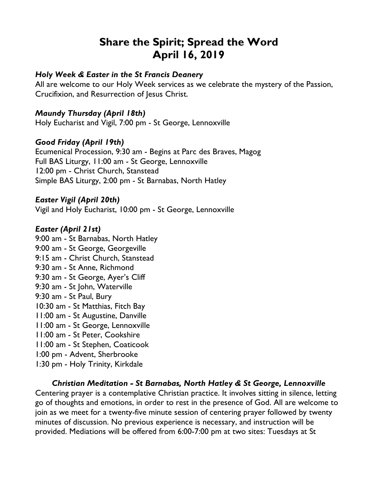# **Share the Spirit; Spread the Word April 16, 2019**

# *Holy Week & Easter in the St Francis Deanery*

All are welcome to our Holy Week services as we celebrate the mystery of the Passion, Crucifixion, and Resurrection of Jesus Christ.

# *Maundy Thursday (April 18th)*

Holy Eucharist and Vigil, 7:00 pm - St George, Lennoxville

#### *Good Friday (April 19th)*

Ecumenical Procession, 9:30 am - Begins at Parc des Braves, Magog Full BAS Liturgy, 11:00 am - St George, Lennoxville 12:00 pm - Christ Church, Stanstead Simple BAS Liturgy, 2:00 pm - St Barnabas, North Hatley

#### *Easter Vigil (April 20th)*

Vigil and Holy Eucharist, 10:00 pm - St George, Lennoxville

#### *Easter (April 21st)*

9:00 am - St Barnabas, North Hatley 9:00 am - St George, Georgeville 9:15 am - Christ Church, Stanstead 9:30 am - St Anne, Richmond 9:30 am - St George, Ayer's Cliff 9:30 am - St John, Waterville 9:30 am - St Paul, Bury 10:30 am - St Matthias, Fitch Bay 11:00 am - St Augustine, Danville 11:00 am - St George, Lennoxville 11:00 am - St Peter, Cookshire 11:00 am - St Stephen, Coaticook 1:00 pm - Advent, Sherbrooke 1:30 pm - Holy Trinity, Kirkdale

# *Christian Meditation - St Barnabas, North Hatley & St George, Lennoxville*

Centering prayer is a contemplative Christian practice. It involves sitting in silence, letting go of thoughts and emotions, in order to rest in the presence of God. All are welcome to join as we meet for a twenty-five minute session of centering prayer followed by twenty minutes of discussion. No previous experience is necessary, and instruction will be provided. Mediations will be offered from 6:00-7:00 pm at two sites: Tuesdays at St